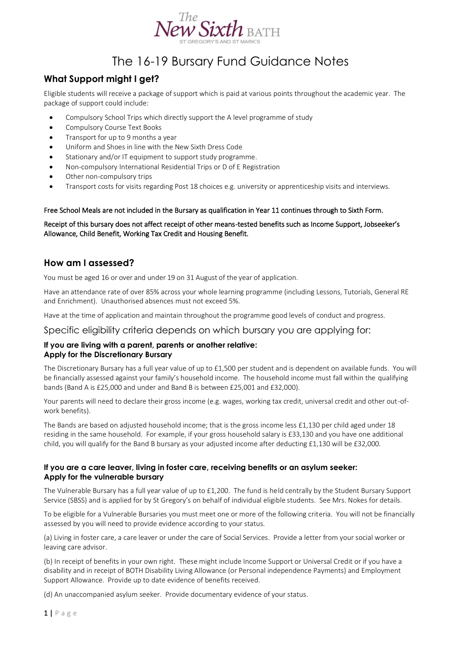

# The 16-19 Bursary Fund Guidance Notes

## **What Support might I get?**

Eligible students will receive a package of support which is paid at various points throughout the academic year. The package of support could include:

- Compulsory School Trips which directly support the A level programme of study
- Compulsory Course Text Books
- Transport for up to 9 months a year
- Uniform and Shoes in line with the New Sixth Dress Code
- Stationary and/or IT equipment to support study programme.
- Non-compulsory International Residential Trips or D of E Registration
- Other non-compulsory trips
- Transport costs for visits regarding Post 18 choices e.g. university or apprenticeship visits and interviews.

#### Free School Meals are not included in the Bursary as qualification in Year 11 continues through to Sixth Form.

Receipt of this bursary does not affect receipt of other means-tested benefits such as Income Support, Jobseeker's Allowance, Child Benefit, Working Tax Credit and Housing Benefit.

### **How am I assessed?**

You must be aged 16 or over and under 19 on 31 August of the year of application.

Have an attendance rate of over 85% across your whole learning programme (including Lessons, Tutorials, General RE and Enrichment). Unauthorised absences must not exceed 5%.

Have at the time of application and maintain throughout the programme good levels of conduct and progress.

Specific eligibility criteria depends on which bursary you are applying for:

#### **If you are living with a parent, parents or another relative: Apply for the Discretionary Bursary**

The Discretionary Bursary has a full year value of up to £1,500 per student and is dependent on available funds. You will be financially assessed against your family's household income. The household income must fall within the qualifying bands (Band A is £25,000 and under and Band B is between £25,001 and £32,000).

Your parents will need to declare their gross income (e.g. wages, working tax credit, universal credit and other out-ofwork benefits).

The Bands are based on adjusted household income; that is the gross income less £1,130 per child aged under 18 residing in the same household. For example, if your gross household salary is £33,130 and you have one additional child, you will qualify for the Band B bursary as your adjusted income after deducting £1,130 will be £32,000.

#### **If you are a care leaver, living in foster care, receiving benefits or an asylum seeker: Apply for the vulnerable bursary**

The Vulnerable Bursary has a full year value of up to £1,200. The fund is held centrally by the Student Bursary Support Service (SBSS) and is applied for by St Gregory's on behalf of individual eligible students. See Mrs. Nokes for details.

To be eligible for a Vulnerable Bursaries you must meet one or more of the following criteria. You will not be financially assessed by you will need to provide evidence according to your status.

(a) Living in foster care, a care leaver or under the care of Social Services. Provide a letter from your social worker or leaving care advisor.

(b) In receipt of benefits in your own right. These might include Income Support or Universal Credit or if you have a disability and in receipt of BOTH Disability Living Allowance (or Personal independence Payments) and Employment Support Allowance. Provide up to date evidence of benefits received.

(d) An unaccompanied asylum seeker. Provide documentary evidence of your status.